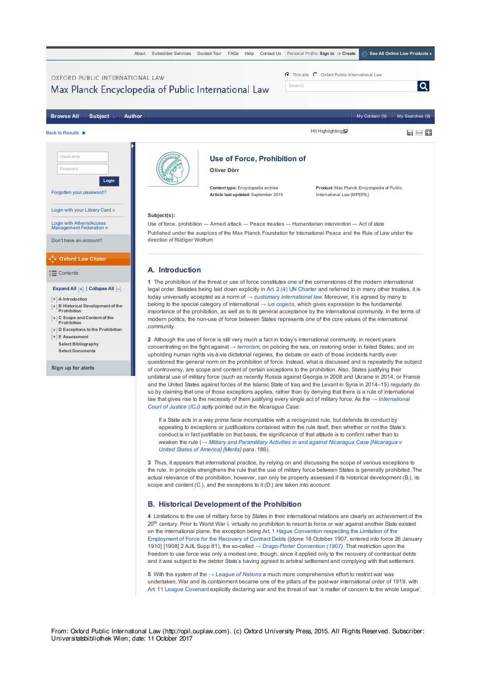

If a State acts in a way *prima facie* incompatible with a recognized rule, but defends its conduct by appealing to exceptions or justifications contained within the rule itself, then whether or not the State's conduct is in fact justifiable on that basis, the significance of that attitude is to confirm rather than to weaken the rule (*→ Military and Paramilitary Activities in and against Nicaragua Case [Nicaragua v United States of America] [Merits]* para. 186).

**3** Thus, it appears that international practice, by relying on and discussing the scope of various exceptions to the rule, in principle strengthens the rule that the use of military force between States is generally prohibited. The actual relevance of the prohibition, however, can only be properly assessed if its historical development (B.), its scope and content (C.), and the exceptions to it (D.) are taken into account.

## **B. Historical Development of the Prohibition**

**4** Limitations to the use of military force by States in their international relations are clearly an achievement of the 20<sup>th</sup> century. Prior to World War I, virtually no prohibition to resort to force or war against another State existed on the international plane, the exception being Art. 1 Hague Convention respecting the Limitation of the Employment of Force for the Recovery of Contract Debts ([done 18 October 1907, entered into force 26 January 1910] [1908] 2 AJIL Supp 81), the so-called *→ Drago-Porter Convention (1907)*. That restriction upon the freedom to use force was only a modest one, though, since it applied only to the recovery of contractual debts and it was subject to the debtor State's having agreed to arbitral settlement and complying with that settlement.

**5** With the system of the *→ League of Nations* a much more comprehensive effort to restrict war was undertaken. War and its containment became one of the pillars of the post-war international order of 1919, with Art. 11 League Covenant explicitly declaring war and the threat of war 'a matter of concern to the whole League'.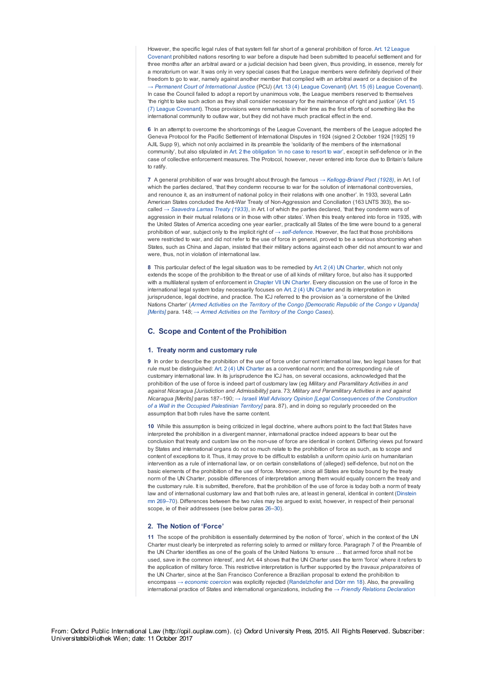However, the specific legal rules of that system fell far short of a general prohibition of force. Art. 12 League Covenant prohibited nations resorting to war before a dispute had been submitted to peaceful settlement and for three months after an arbitral award or a judicial decision had been given, thus providing, in essence, merely for a moratorium on war. It was only in very special cases that the League members were definitely deprived of their freedom to go to war, namely against another member that complied with an arbitral award or a decision of the *→ Permanent Court of International Justice* (PCIJ) (Art. 13 (4) League Covenant) (Art. 15 (6) League Covenant). In case the Council failed to adopt a report by unanimous vote, the League members reserved to themselves 'the right to take such action as they shall consider necessary for the maintenance of right and justice' (Art. 15 (7) League Covenant). Those provisions were remarkable in their time as the first efforts of something like the international community to outlaw war, but they did not have much practical effect in the end.

**6** In an attempt to overcome the shortcomings of the League Covenant, the members of the League adopted the Geneva Protocol for the Pacific Settlement of International Disputes in 1924 (signed 2 October 1924 [1925] 19 AJIL Supp 9), which not only acclaimed in its preamble the 'solidarity of the members of the international community', but also stipulated in Art. 2 the obligation 'in no case to resort to war', except in self-defence or in the case of collective enforcement measures. The Protocol, however, never entered into force due to Britain's failure to ratify.

**7** A general prohibition of war was brought about through the famous *→ Kellogg-Briand Pact (1928)*, in Art. I of which the parties declared, 'that they condemn recourse to war for the solution of international controversies, and renounce it, as an instrument of national policy in their relations with one another'. In 1933, several Latin American States concluded the Anti-War Treaty of Non-Aggression and Conciliation (163 LNTS 393), the socalled *→ Saavedra Lamas Treaty (1933)*, in Art. I of which the parties declared, 'that they condemn wars of aggression in their mutual relations or in those with other states'. When this treaty entered into force in 1935, with the United States of America acceding one year earlier, practically all States of the time were bound to a general prohibition of war, subject only to the implicit right of *→ self-defence*. However, the fact that those prohibitions were restricted to war, and did not refer to the use of force in general, proved to be a serious shortcoming when States, such as China and Japan, insisted that their military actions against each other did not amount to war and were, thus, not in violation of international law

**8** This particular defect of the legal situation was to be remedied by Art. 2 (4) UN Charter, which not only extends the scope of the prohibition to the threat or use of all kinds of military force, but also has it supported with a multilateral system of enforcement in Chapter VII UN Charter. Every discussion on the use of force in the international legal system today necessarily focuses on Art. 2 (4) UN Charter and its interpretation in jurisprudence, legal doctrine, and practice. The ICJ referred to the provision as 'a cornerstone of the United Nations Charter' (*Armed Activities on the Territory of the Congo [Democratic Republic of the Congo v Uganda] [Merits]* para. 148; *→ Armed Activities on the Territory of the Congo Cases*).

# **C. Scope and Content of the Prohibition**

### **1. Treaty norm and customary rule**

**9** In order to describe the prohibition of the use of force under current international law, two legal bases for that rule must be distinguished: Art. 2 (4) UN Charter as a conventional norm; and the corresponding rule of customary international law. In its jurisprudence the ICJ has, on several occasions, acknowledged that the prohibition of the use of force is indeed part of customary law (eg *Military and Paramilitary Activities in and against Nicaragua [Jurisdiction and Admissibility]* para. 73; *Military and Paramilitary Activities in and against Nicaragua [Merits]* paras 187–190; *→ Israeli Wall Advisory Opinion [Legal Consequences of the Construction of a Wall in the Occupied Palestinian Territory]* para. 87), and in doing so regularly proceeded on the assumption that both rules have the same content.

10 While this assumption is being criticized in legal doctrine, where authors point to the fact that States have interpreted the prohibition in a divergent manner, international practice indeed appears to bear out the conclusion that treaty and custom law on the non-use of force are identical in content. Differing views put forward by States and international organs do not so much relate to the prohibition of force as such, as to scope and content of exceptions to it. Thus, it may prove to be difficult to establish a uniform *opinio iuris* on humanitarian intervention as a rule of international law, or on certain constellations of (alleged) self-defence, but not on the basic elements of the prohibition of the use of force. Moreover, since all States are today bound by the treaty norm of the UN Charter, possible differences of interpretation among them would equally concern the treaty and the customary rule. It is submitted, therefore, that the prohibition of the use of force is today both a norm of treaty law and of international customary law and that both rules are, at least in general, identical in content (Dinstein mn 269–70). Differences between the two rules may be argued to exist, however, in respect of their personal scope, ie of their addressees (see below paras 26–30).

## **2. The Notion of 'Force'**

**11** The scope of the prohibition is essentially determined by the notion of 'force', which in the context of the UN Charter must clearly be interpreted as referring solely to armed or military force. Paragraph 7 of the Preamble of the UN Charter identifies as one of the goals of the United Nations 'to ensure … that armed force shall not be used, save in the common interest', and Art. 44 shows that the UN Charter uses the term 'force' where it refers to the application of military force. This restrictive interpretation is further supported by the *travaux préparatoires* of the UN Charter, since at the San Francisco Conference a Brazilian proposal to extend the prohibition to encompass *→ economic coercion* was explicitly rejected (Randelzhofer and Dörr mn 18). Also, the prevailing international practice of States and international organizations, including the *→ Friendly Relations Declaration*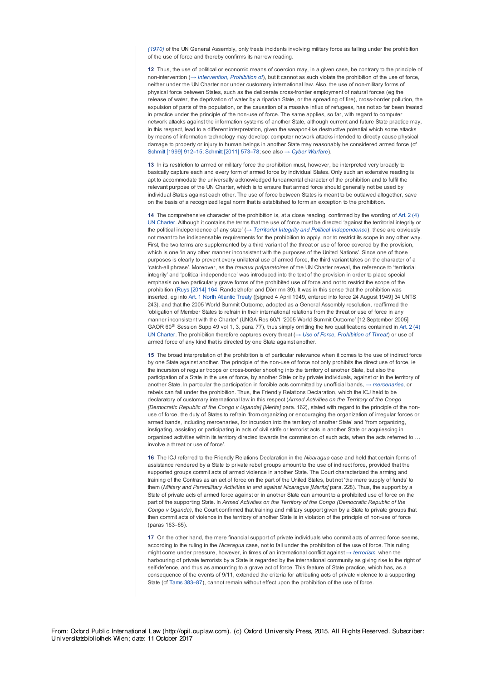*(1970)* of the UN General Assembly, only treats incidents involving military force as falling under the prohibition of the use of force and thereby confirms its narrow reading.

**12** Thus, the use of political or economic means of coercion may, in a given case, be contrary to the principle of non-intervention (*→ Intervention, Prohibition of*), but it cannot as such violate the prohibition of the use of force, neither under the UN Charter nor under customary international law. Also, the use of non-military forms of physical force between States, such as the deliberate cross-frontier employment of natural forces (eg the release of water, the deprivation of water by a riparian State, or the spreading of fire), cross-border pollution, the expulsion of parts of the population, or the causation of a massive influx of refugees, has not so far been treated in practice under the principle of the non-use of force. The same applies, so far, with regard to computer network attacks against the information systems of another State, although current and future State practice may, in this respect, lead to a different interpretation, given the weapon-like destructive potential which some attacks by means of information technology may develop: computer network attacks intended to directly cause physical damage to property or injury to human beings in another State may reasonably be considered armed force (cf Schmitt [1999] 912–15; Schmitt [2011] 573–78; see also *→ Cyber Warfare*).

**13** In its restriction to armed or military force the prohibition must, however, be interpreted very broadly to basically capture each and every form of armed force by individual States. Only such an extensive reading is apt to accommodate the universally acknowledged fundamental character of the prohibition and to fulfil the relevant purpose of the UN Charter, which is to ensure that armed force should generally not be used by individual States against each other. The use of force between States is meant to be outlawed altogether, save on the basis of a recognized legal norm that is established to form an exception to the prohibition.

**14** The comprehensive character of the prohibition is, at a close reading, confirmed by the wording of Art. 2 (4) UN Charter. Although it contains the terms that the use of force must be directed 'against the territorial integrity or the political independence of any state' (*→ Territorial Integrity and Political Independence*), these are obviously not meant to be indispensable requirements for the prohibition to apply, nor to restrict its scope in any other way. First, the two terms are supplemented by a third variant of the threat or use of force covered by the provision, which is one 'in any other manner inconsistent with the purposes of the United Nations'. Since one of those purposes is clearly to prevent every unilateral use of armed force, the third variant takes on the character of a 'catch-all phrase'. Moreover, as the *travaux préparatoires* of the UN Charter reveal, the reference to 'territorial integrity' and 'political independence' was introduced into the text of the provision in order to place special emphasis on two particularly grave forms of the prohibited use of force and not to restrict the scope of the prohibition (Ruys [2014] 164; Randelzhofer and Dörr mn 39). It was in this sense that the prohibition was inserted, eg into Art. 1 North Atlantic Treaty ([signed 4 April 1949, entered into force 24 August 1949] 34 UNTS 243), and that the 2005 World Summit Outcome, adopted as a General Assembly resolution, reaffirmed the 'obligation of Member States to refrain in their international relations from the threat or use of force in any manner inconsistent with the Charter' (UNGA Res 60/1 '2005 World Summit Outcome' [12 September 2005] GAOR 60<sup>th</sup> Session Supp 49 vol 1, 3, para. 77), thus simply omitting the two qualifications contained in Art. 2 (4) UN Charter. The prohibition therefore captures every threat (*→ Use of Force, Prohibition of Threat*) or use of armed force of any kind that is directed by one State against another.

**15** The broad interpretation of the prohibition is of particular relevance when it comes to the use of indirect force by one State against another. The principle of the non-use of force not only prohibits the direct use of force, ie the incursion of regular troops or cross-border shooting into the territory of another State, but also the participation of a State in the use of force, by another State or by private individuals, against or in the territory of another State. In particular the participation in forcible acts committed by unofficial bands, *→ mercenaries*, or rebels can fall under the prohibition. Thus, the Friendly Relations Declaration, which the ICJ held to be declaratory of customary international law in this respect (*Armed Activities on the Territory of the Congo [Democratic Republic of the Congo v Uganda] [Merits]* para. 162), stated with regard to the principle of the nonuse of force, the duty of States to refrain 'from organizing or encouraging the organization of irregular forces or armed bands, including mercenaries, for incursion into the territory of another State' and 'from organizing, instigating, assisting or participating in acts of civil strife or terrorist acts in another State or acquiescing in organized activities within its territory directed towards the commission of such acts, when the acts referred to ... involve a threat or use of force'.

**16** The ICJ referred to the Friendly Relations Declaration in the *Nicaragua* case and held that certain forms of assistance rendered by a State to private rebel groups amount to the use of indirect force, provided that the supported groups commit acts of armed violence in another State. The Court characterized the arming and training of the Contras as an act of force on the part of the United States, but not 'the mere supply of funds' to them (*Military and Paramilitary Activities in and against Nicaragua [Merits]* para. 228). Thus, the support by a State of private acts of armed force against or in another State can amount to a prohibited use of force on the part of the supporting State. In *Armed Activities on the Territory of the Congo (Democratic Republic of the Congo v Uganda)*, the Court confirmed that training and military support given by a State to private groups that then commit acts of violence in the territory of another State is in violation of the principle of non-use of force (paras 163–65).

**17** On the other hand, the mere financial support of private individuals who commit acts of armed force seems, according to the ruling in the *Nicaragua* case, not to fall under the prohibition of the use of force. This ruling might come under pressure, however, in times of an international conflict against *→ terrorism*, when the harbouring of private terrorists by a State is regarded by the international community as giving rise to the right of self-defence, and thus as amounting to a grave act of force. This feature of State practice, which has, as a consequence of the events of 9/11, extended the criteria for attributing acts of private violence to a supporting State (cf Tams 383–87), cannot remain without effect upon the prohibition of the use of force.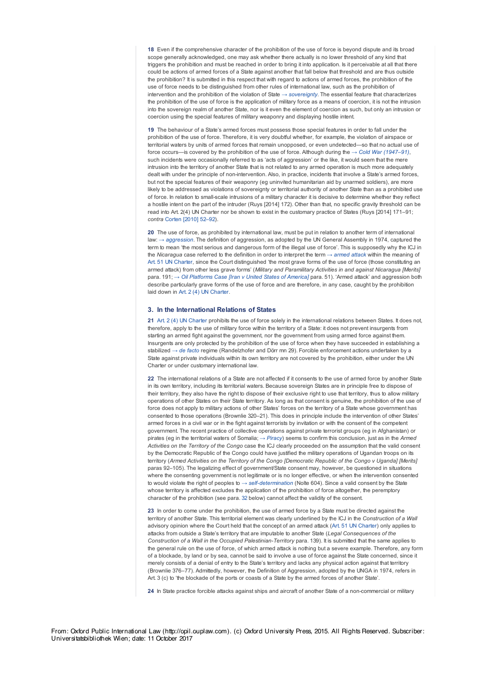**18** Even if the comprehensive character of the prohibition of the use of force is beyond dispute and its broad scope generally acknowledged, one may ask whether there actually is no lower threshold of any kind that triggers the prohibition and must be reached in order to bring it into application. Is it perceivable at all that there could be actions of armed forces of a State against another that fall below that threshold and are thus outside the prohibition? It is submitted in this respect that with regard to actions of armed forces, the prohibition of the use of force needs to be distinguished from other rules of international law, such as the prohibition of intervention and the prohibition of the violation of State *→ sovereignty*. The essential feature that characterizes the prohibition of the use of force is the application of military force as a means of coercion, it is not the intrusion into the sovereign realm of another State, nor is it even the element of coercion as such, but only an intrusion or coercion using the special features of military weaponry and displaying hostile intent.

**19** The behaviour of a State's armed forces must possess those special features in order to fall under the prohibition of the use of force. Therefore, it is very doubtful whether, for example*,* the violation of airspace or territorial waters by units of armed forces that remain unopposed, or even undetected—so that no actual use of force occurs—is covered by the prohibition of the use of force. Although during the *→ Cold War (1947–91)*, such incidents were occasionally referred to as 'acts of aggression' or the like, it would seem that the mere intrusion into the territory of another State that is not related to any armed operation is much more adequately dealt with under the principle of non-intervention. Also, in practice, incidents that involve a State's armed forces, but not the special features of their weaponry (eg uninvited humanitarian aid by unarmed soldiers), are more likely to be addressed as violations of sovereignty or territorial authority of another State than as a prohibited use of force. In relation to small-scale intrusions of a military character it is decisive to determine whether they reflect a hostile intent on the part of the intruder (Ruys [2014] 172). Other than that, no specific gravity threshold can be read into Art. 2(4) UN Charter nor be shown to exist in the customary practice of States (Ruys [2014] 171–91; *contra* Corten [2010] 52–92).

**20** The use of force, as prohibited by international law, must be put in relation to another term of international law: *→ aggression*. The definition of aggression, as adopted by the UN General Assembly in 1974, captured the term to mean 'the most serious and dangerous form of the illegal use of force'. This is supposedly why the ICJ in the *Nicaragua* case referred to the definition in order to interpret the term *→ armed attack* within the meaning of Art. 51 UN Charter, since the Court distinguished 'the most grave forms of the use of force (those constituting an armed attack) from other less grave forms' (*Military and Paramilitary Activities in and against Nicaragua [Merits]* para. 191; *→ Oil Platforms Case [Iran v United States of America]* para. 51). 'Armed attack' and aggression both describe particularly grave forms of the use of force and are therefore, in any case, caught by the prohibition laid down in Art. 2 (4) UN Charter.

#### **3. In the International Relations of States**

**21** Art. 2 (4) UN Charter prohibits the use of force solely in the international relations between States. It does not, therefore, apply to the use of military force within the territory of a State: it does not prevent insurgents from starting an armed fight against the government, nor the government from using armed force against them. Insurgents are only protected by the prohibition of the use of force when they have succeeded in establishing a stabilized *→ de facto* regime (Randelzhofer and Dörr mn 29). Forcible enforcement actions undertaken by a State against private individuals within its own territory are not covered by the prohibition, either under the UN Charter or under customary international law.

**22** The international relations of a State are not affected if it consents to the use of armed force by another State in its own territory, including its territorial waters. Because sovereign States are in principle free to dispose of their territory, they also have the right to dispose of their exclusive right to use that territory, thus to allow military operations of other States on their State territory. As long as that consent is genuine, the prohibition of the use of force does not apply to military actions of other States' forces on the territory of a State whose government has consented to those operations (Brownlie 320–21). This does in principle include the intervention of other States' armed forces in a civil war or in the fight against terrorists by invitation or with the consent of the competent government. The recent practice of collective operations against private terrorist groups (eg in Afghanistan) or pirates (eg in the territorial waters of Somalia; *→ Piracy*) seems to confirm this conclusion, just as in the *Armed Activities on the Territory of the Congo* case the ICJ clearly proceeded on the assumption that the valid consent by the Democratic Republic of the Congo could have justified the military operations of Ugandan troops on its territory (*Armed Activities on the Territory of the Congo [Democratic Republic of the Congo v Uganda] [Merits]* paras 92–105). The legalizing effect of government/State consent may, however, be questioned in situations where the consenting government is not legitimate or is no longer effective, or when the intervention consented to would violate the right of peoples to *→ self-determination* (Nolte 604). Since a valid consent by the State whose territory is affected excludes the application of the prohibition of force altogether, the peremptory character of the prohibition (see para. 32 below) cannot affect the validity of the consent.

**23** In order to come under the prohibition, the use of armed force by a State must be directed against the territory of another State. This territorial element was clearly underlined by the ICJ in the *Construction of a Wall* advisory opinion where the Court held that the concept of an armed attack (Art. 51 UN Charter) only applies to attacks from outside a State's territory that are imputable to another State (*Legal Consequences of the Construction of a Wall in the Occupied Palestinian-Territory* para. 139). It is submitted that the same applies to the general rule on the use of force, of which armed attack is nothing but a severe example. Therefore, any form of a blockade, by land or by sea, cannot be said to involve a use of force against the State concerned, since it merely consists of a denial of entry to the State's territory and lacks any physical action against that territory (Brownlie 376–77). Admittedly, however, the Definition of Aggression, adopted by the UNGA in 1974, refers in Art. 3 (c) to 'the blockade of the ports or coasts of a State by the armed forces of another State'.

**24** In State practice forcible attacks against ships and aircraft of another State of a non-commercial or military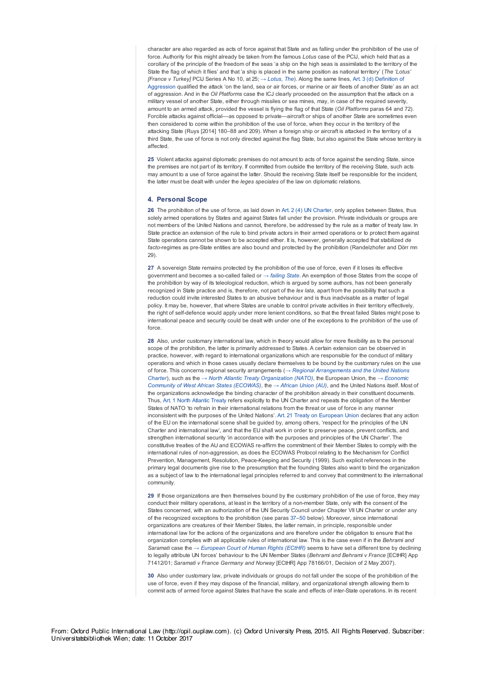character are also regarded as acts of force against that State and as falling under the prohibition of the use of force. Authority for this might already be taken from the famous *Lotus* case of the PCIJ, which held that as a corollary of the principle of the freedom of the seas 'a ship on the high seas is assimilated to the territory of the State the flag of which it flies' and that 'a ship is placed in the same position as national territory' (*The 'Lotus' [France v Turkey]* PCIJ Series A No 10, at 25; *→ Lotus, The*). Along the same lines, Art. 3 (d) Definition of Aggression qualified the attack 'on the land, sea or air forces, or marine or air fleets of another State' as an act of aggression. And in the *Oil Platforms* case the ICJ clearly proceeded on the assumption that the attack on a military vessel of another State, either through missiles or sea mines, may, in case of the required severity, amount to an armed attack, provided the vessel is flying the flag of that State (*Oil Platforms* paras 64 and 72). Forcible attacks against official––as opposed to private—aircraft or ships of another State are sometimes even then considered to come within the prohibition of the use of force, when they occur in the territory of the attacking State (Ruys [2014] 180–88 and 209). When a foreign ship or aircraft is attacked in the territory of a third State, the use of force is not only directed against the flag State, but also against the State whose territory is affected.

**25** Violent attacks against diplomatic premises do not amount to acts of force against the sending State, since the premises are not part of its territory. If committed from outside the territory of the receiving State, such acts may amount to a use of force against the latter. Should the receiving State itself be responsible for the incident, the latter must be dealt with under the *leges speciales* of the law on diplomatic relations.

#### **4. Personal Scope**

**26** The prohibition of the use of force, as laid down in Art. 2 (4) UN Charter, only applies between States, thus solely armed operations by States and against States fall under the provision. Private individuals or groups are not members of the United Nations and cannot, therefore, be addressed by the rule as a matter of treaty law. In State practice an extension of the rule to bind private actors in their armed operations or to protect them against State operations cannot be shown to be accepted either. It is, however, generally accepted that stabilized *de facto*-regimes as pre-State entities are also bound and protected by the prohibition (Randelzhofer and Dörr mn 29).

**27** A sovereign State remains protected by the prohibition of the use of force, even if it loses its effective government and becomes a so-called failed or *→ failing State*. An exemption of those States from the scope of the prohibition by way of its teleological reduction, which is argued by some authors, has not been generally recognized in State practice and is, therefore, not part of the *lex lata*, apart from the possibility that such a reduction could invite interested States to an abusive behaviour and is thus inadvisable as a matter of legal policy. It may be, however, that where States are unable to control private activities in their territory effectively, the right of self-defence would apply under more lenient conditions, so that the threat failed States might pose to international peace and security could be dealt with under one of the exceptions to the prohibition of the use of force.

**28** Also, under customary international law, which in theory would allow for more flexibility as to the personal scope of the prohibition, the latter is primarily addressed to States. A certain extension can be observed in practice, however, with regard to international organizations which are responsible for the conduct of military operations and which in those cases usually declare themselves to be bound by the customary rules on the use of force. This concerns regional security arrangements (*→ Regional Arrangements and the United Nations Charter*), such as the *→ North Atlantic Treaty Organization (NATO)*, the European Union, the *→ Economic Community of West African States (ECOWAS)*, the *→ African Union (AU)*, and the United Nations itself. Most of the organizations acknowledge the binding character of the prohibition already in their constituent documents. Thus, Art. 1 North Atlantic Treaty refers explicitly to the UN Charter and repeats the obligation of the Member States of NATO 'to refrain in their international relations from the threat or use of force in any manner inconsistent with the purposes of the United Nations'. Art. 21 Treaty on European Union declares that any action of the EU on the international scene shall be guided by, among others, 'respect for the principles of the UN Charter and international law', and that the EU shall work in order to preserve peace, prevent conflicts, and strengthen international security 'in accordance with the purposes and principles of the UN Charter'. The constitutive treaties of the AU and ECOWAS re-affirm the commitment of their Member States to comply with the international rules of non-aggression, as does the ECOWAS Protocol relating to the Mechanism for Conflict Prevention, Management, Resolution, Peace-Keeping and Security (1999). Such explicit references in the primary legal documents give rise to the presumption that the founding States also want to bind the organization as a subject of law to the international legal principles referred to and convey that commitment to the international community.

**29** If those organizations are then themselves bound by the customary prohibition of the use of force, they may conduct their military operations, at least in the territory of a non-member State, only with the consent of the States concerned, with an authorization of the UN Security Council under Chapter VII UN Charter or under any of the recognized exceptions to the prohibition (see paras 37–50 below). Moreover, since international organizations are creatures of their Member States, the latter remain, in principle, responsible under international law for the actions of the organizations and are therefore under the obligation to ensure that the organization complies with all applicable rules of international law. This is the case even if in the *Behrami and Saramati* case the *→ European Court of Human Rights (ECtHR)* seems to have set a different tone by declining to legally attribute UN forces' behaviour to the UN Member States (*Behrami and Behrami v France* [ECtHR] App 71412/01; *Saramati v France Germany and Norway* [ECtHR] App 78166/01, Decision of 2 May 2007).

**30** Also under customary law, private individuals or groups do not fall under the scope of the prohibition of the use of force, even if they may dispose of the financial, military, and organizational strength allowing them to commit acts of armed force against States that have the scale and effects of inter-State operations. In its recent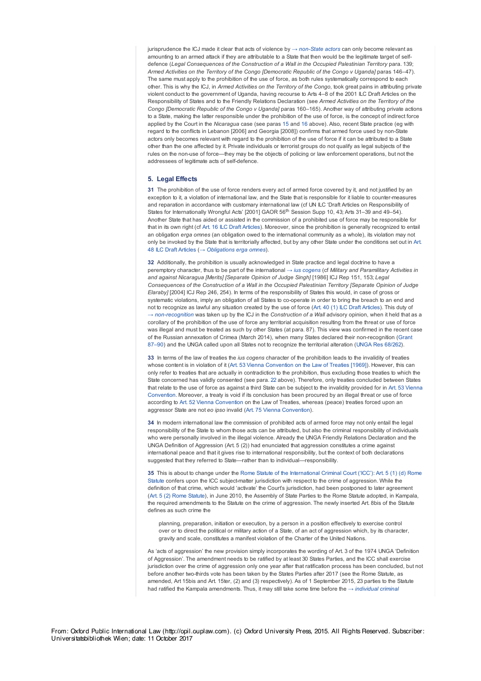jurisprudence the ICJ made it clear that acts of violence by *→ non-State actors* can only become relevant as amounting to an armed attack if they are attributable to a State that then would be the legitimate target of selfdefence (*Legal Consequences of the Construction of a Wall in the Occupied Palestinian Territory* para. 139; *Armed Activities on the Territory of the Congo [Democratic Republic of the Congo v Uganda]* paras 146–47). The same must apply to the prohibition of the use of force, as both rules systematically correspond to each other. This is why the ICJ, in *Armed Activities on the Territory of the Congo*, took great pains in attributing private violent conduct to the government of Uganda, having recourse to Arts 4–8 of the 2001 ILC Draft Articles on the Responsibility of States and to the Friendly Relations Declaration (see *Armed Activities on the Territory of the Congo [Democratic Republic of the Congo v Uganda]* paras 160–165). Another way of attributing private actions to a State, making the latter responsible under the prohibition of the use of force, is the concept of indirect force applied by the Court in the *Nicaragua* case (see paras 15 and 16 above). Also, recent State practice (eg with regard to the conflicts in Lebanon [2006] and Georgia [2008]) confirms that armed force used by non-State actors only becomes relevant with regard to the prohibition of the use of force if it can be attributed to a State other than the one affected by it. Private individuals or terrorist groups do not qualify as legal subjects of the rules on the non-use of force--they may be the objects of policing or law enforcement operations, but not the addressees of legitimate acts of self-defence.

#### **5. Legal Effects**

**31** The prohibition of the use of force renders every act of armed force covered by it, and not justified by an exception to it, a violation of international law, and the State that is responsible for it liable to counter-measures and reparation in accordance with customary international law (cf UN ILC 'Draft Articles on Responsibility of States for Internationally Wrongful Acts' [2001] GAOR 56<sup>th</sup> Session Supp 10, 43; Arts 31-39 and 49-54). Another State that has aided or assisted in the commission of a prohibited use of force may be responsible for that in its own right (cf Art. 16 ILC Draft Articles). Moreover, since the prohibition is generally recognized to entail an obligation *erga omnes* (an obligation owed to the international community as a whole), its violation may not only be invoked by the State that is territorially affected, but by any other State under the conditions set out in Art. 48 ILC Draft Articles (*→ Obligations erga omnes*).

**32** Additionally, the prohibition is usually acknowledged in State practice and legal doctrine to have a peremptory character, thus to be part of the international *→ ius cogens* (cf *Military and Paramilitary Activities in and against Nicaragua [Merits] [Separate Opinion of Judge Singh]* [1986] ICJ Rep 151, 153; *Legal Consequences of the Construction of a Wall in the Occupied Palestinian Territory [Separate Opinion of Judge Elaraby]* [2004] ICJ Rep 246, 254). In terms of the responsibility of States this would, in case of gross or systematic violations, imply an obligation of all States to co-operate in order to bring the breach to an end and not to recognize as lawful any situation created by the use of force (Art. 40 (1) ILC Draft Articles). This duty of *→ non-recognition* was taken up by the ICJ in the *Construction of a Wall* advisory opinion, when it held that as a corollary of the prohibition of the use of force any territorial acquisition resulting from the threat or use of force was illegal and must be treated as such by other States (at para. 87). This view was confirmed in the recent case of the Russian annexation of Crimea (March 2014), when many States declared their non-recognition (Grant 87–90) and the UNGA called upon all States not to recognize the territorial alteration (UNGA Res 68/262).

**33** In terms of the law of treaties the *ius cogens* character of the prohibition leads to the invalidity of treaties whose content is in violation of it (Art. 53 Vienna Convention on the Law of Treaties [1969]). However, this can only refer to treaties that are actually in contradiction to the prohibition, thus excluding those treaties to which the State concerned has validly consented (see para. 22 above). Therefore, only treaties concluded between States that relate to the use of force as against a third State can be subject to the invalidity provided for in Art. 53 Vienna Convention. Moreover, a treaty is void if its conclusion has been procured by an illegal threat or use of force according to Art. 52 Vienna Convention on the Law of Treaties, whereas (peace) treaties forced upon an aggressor State are not *eo ipso* invalid (Art. 75 Vienna Convention).

**34** In modern international law the commission of prohibited acts of armed force may not only entail the legal responsibility of the State to whom those acts can be attributed, but also the criminal responsibility of individuals who were personally involved in the illegal violence. Already the UNGA Friendly Relations Declaration and the UNGA Definition of Aggression (Art. 5 (2)) had enunciated that aggression constitutes a crime against international peace and that it gives rise to international responsibility, but the context of both declarations suggested that they referred to State—rather than to individual—responsibility.

**35** This is about to change under the Rome Statute of the International Criminal Court ('ICC'): Art. 5 (1) (d) Rome Statute confers upon the ICC subject-matter jurisdiction with respect to the crime of aggression. While the definition of that crime, which would 'activate' the Court's jurisdiction, had been postponed to later agreement (Art. 5 (2) Rome Statute), in June 2010, the Assembly of State Parties to the Rome Statute adopted, in Kampala, the required amendments to the Statute on the crime of aggression. The newly inserted Art. 8bis of the Statute defines as such crime the

planning, preparation, initiation or execution, by a person in a position effectively to exercise control over or to direct the political or military action of a State, of an act of aggression which, by its character, gravity and scale, constitutes a manifest violation of the Charter of the United Nations.

As 'acts of aggression' the new provision simply incorporates the wording of Art. 3 of the 1974 UNGA 'Definition of Aggression'. The amendment needs to be ratified by at least 30 States Parties, and the ICC shall exercise jurisdiction over the crime of aggression only one year after that ratification process has been concluded, but not before another two-thirds vote has been taken by the States Parties after 2017 (see the Rome Statute, as amended, Art 15bis and Art. 15ter, (2) and (3) respectively). As of 1 September 2015, 23 parties to the Statute had ratified the Kampala amendments. Thus, it may still take some time before the *→ individual criminal*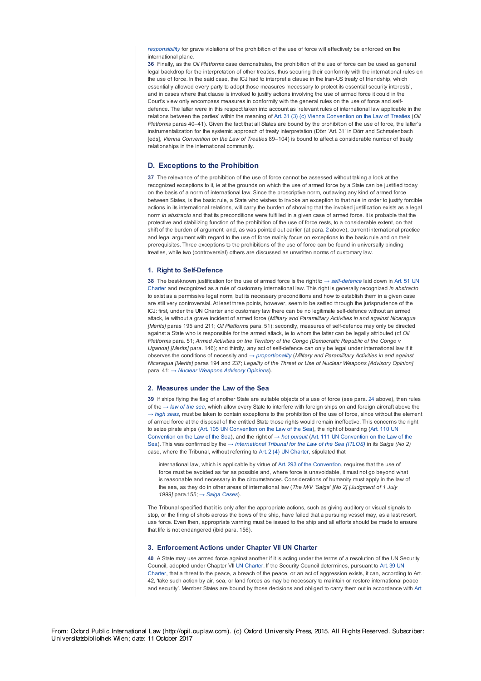*responsibility* for grave violations of the prohibition of the use of force will effectively be enforced on the international plane.

**36** Finally, as the *Oil Platforms* case demonstrates, the prohibition of the use of force can be used as general legal backdrop for the interpretation of other treaties, thus securing their conformity with the international rules on the use of force. In the said case, the ICJ had to interpret a clause in the Iran-US treaty of friendship, which essentially allowed every party to adopt those measures 'necessary to protect its essential security interests', and in cases where that clause is invoked to justify actions involving the use of armed force it could in the Court's view only encompass measures in conformity with the general rules on the use of force and selfdefence. The latter were in this respect taken into account as 'relevant rules of international law applicable in the relations between the parties' within the meaning of Art. 31 (3) (c) Vienna Convention on the Law of Treaties (*Oil Platforms* paras 40–41). Given the fact that all States are bound by the prohibition of the use of force, the latter's instrumentalization for the systemic approach of treaty interpretation (Dörr 'Art. 31' in Dörr and Schmalenbach [eds], *Vienna Convention on the Law of Treaties* 89–104) is bound to affect a considerable number of treaty relationships in the international community.

#### **D. Exceptions to the Prohibition**

**37** The relevance of the prohibition of the use of force cannot be assessed without taking a look at the recognized exceptions to it, ie at the grounds on which the use of armed force by a State can be justified today on the basis of a norm of international law. Since the proscriptive norm, outlawing any kind of armed force between States, is the basic rule, a State who wishes to invoke an exception to that rule in order to justify forcible actions in its international relations, will carry the burden of showing that the invoked justification exists as a legal norm *in abstracto* and that its preconditions were fulfilled in a given case of armed force. It is probable that the protective and stabilizing function of the prohibition of the use of force rests, to a considerable extent, on that shift of the burden of argument, and, as was pointed out earlier (at para. 2 above), current international practice and legal argument with regard to the use of force mainly focus on exceptions to the basic rule and on their prerequisites. Three exceptions to the prohibitions of the use of force can be found in universally binding treaties, while two (controversial) others are discussed as unwritten norms of customary law.

## **1. Right to Self-Defence**

**38** The best-known justification for the use of armed force is the right to *→ self-defence* laid down in Art. 51 UN Charter and recognized as a rule of customary international law. This right is generally recognized *in abstracto* to exist as a permissive legal norm, but its necessary preconditions and how to establish them in a given case are still very controversial. At least three points, however, seem to be settled through the jurisprudence of the ICJ: first, under the UN Charter and customary law there can be no legitimate self-defence without an armed attack, ie without a grave incident of armed force (*Military and Paramilitary Activities in and against Nicaragua [Merits]* paras 195 and 211; *Oil Platforms* para. 51); secondly, measures of self-defence may only be directed against a State who is responsible for the armed attack, ie to whom the latter can be legally attributed (cf *Oil Platforms* para. 51; *Armed Activities on the Territory of the Congo [Democratic Republic of the Congo v Uganda] [Merits]* para. 146); and thirdly, any act of self-defence can only be legal under international law if it observes the conditions of necessity and *→ proportionality* (*Military and Paramilitary Activities in and against Nicaragua [Merits]* paras 194 and 237; *Legality of the Threat or Use of Nuclear Weapons [Advisory Opinion]* para. 41; *→ Nuclear Weapons Advisory Opinions*).

### **2. Measures under the Law of the Sea**

**39** If ships flying the flag of another State are suitable objects of a use of force (see para. 24 above), then rules of the *→ law of the sea*, which allow every State to interfere with foreign ships on and foreign aircraft above the *→ high seas*, must be taken to contain exceptions to the prohibition of the use of force, since without the element of armed force at the disposal of the entitled State those rights would remain ineffective. This concerns the right to seize pirate ships (Art. 105 UN Convention on the Law of the Sea), the right of boarding (Art. 110 UN Convention on the Law of the Sea), and the right of *→ hot pursuit* (Art. 111 UN Convention on the Law of the Sea). This was confirmed by the *→ International Tribunal for the Law of the Sea (ITLOS)* in its *Saiga (No 2)* case, where the Tribunal, without referring to Art. 2 (4) UN Charter, stipulated that

international law, which is applicable by virtue of Art. 293 of the Convention, requires that the use of force must be avoided as far as possible and, where force is unavoidable, it must not go beyond what is reasonable and necessary in the circumstances. Considerations of humanity must apply in the law of the sea, as they do in other areas of international law (*The M/V 'Saiga' [No 2] [Judgment of 1 July 1999]* para.155; *→ Saiga Cases*).

The Tribunal specified that it is only after the appropriate actions, such as giving auditory or visual signals to stop, or the firing of shots across the bows of the ship, have failed that a pursuing vessel may, as a last resort, use force. Even then, appropriate warning must be issued to the ship and all efforts should be made to ensure that life is not endangered (ibid para. 156).

#### **3. Enforcement Actions under Chapter VII UN Charter**

**40** A State may use armed force against another if it is acting under the terms of a resolution of the UN Security Council, adopted under Chapter VII UN Charter. If the Security Council determines, pursuant to Art. 39 UN Charter, that a threat to the peace, a breach of the peace, or an act of aggression exists, it can, according to Art. 42, 'take such action by air, sea, or land forces as may be necessary to maintain or restore international peace and security'. Member States are bound by those decisions and obliged to carry them out in accordance with Art.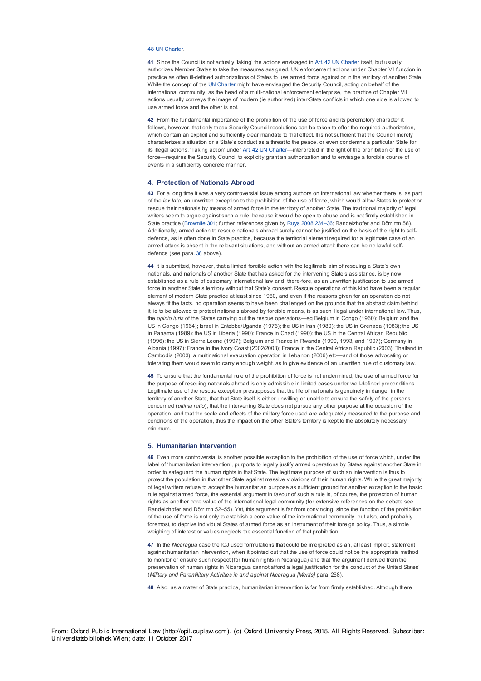### 48 UN Charter.

**41** Since the Council is not actually 'taking' the actions envisaged in Art. 42 UN Charter itself, but usually authorizes Member States to take the measures assigned, UN enforcement actions under Chapter VII function in practice as often ill-defined authorizations of States to use armed force against or in the territory of another State. While the concept of the UN Charter might have envisaged the Security Council, acting on behalf of the international community, as the head of a multi-national enforcement enterprise, the practice of Chapter VII actions usually conveys the image of modern (ie authorized) inter-State conflicts in which one side is allowed to use armed force and the other is not.

**42** From the fundamental importance of the prohibition of the use of force and its peremptory character it follows, however, that only those Security Council resolutions can be taken to offer the required authorization, which contain an explicit and sufficiently clear mandate to that effect. It is not sufficient that the Council merely characterizes a situation or a State's conduct as a threat to the peace, or even condemns a particular State for its illegal actions. 'Taking action' under Art. 42 UN Charter—interpreted in the light of the prohibition of the use of force—requires the Security Council to explicitly grant an authorization and to envisage a forcible course of events in a sufficiently concrete manner.

#### **4. Protection of Nationals Abroad**

**43** For a long time it was a very controversial issue among authors on international law whether there is, as part of the *lex lata*, an unwritten exception to the prohibition of the use of force, which would allow States to protect or rescue their nationals by means of armed force in the territory of another State. The traditional majority of legal writers seem to argue against such a rule, because it would be open to abuse and is not firmly established in State practice (Brownlie 301; further references given by Ruys 2008 234–36; Randelzhofer and Dörr mn 58). Additionally, armed action to rescue nationals abroad surely cannot be justified on the basis of the right to selfdefence, as is often done in State practice, because the territorial element required for a legitimate case of an armed attack is absent in the relevant situations, and without an armed attack there can be no lawful selfdefence (see para. 38 above).

**44** It is submitted, however, that a limited forcible action with the legitimate aim of rescuing a State's own nationals, and nationals of another State that has asked for the intervening State's assistance, is by now established as a rule of customary international law and, there-fore, as an unwritten justification to use armed force in another State's territory without that State's consent. Rescue operations of this kind have been a regular element of modern State practice at least since 1960, and even if the reasons given for an operation do not always fit the facts, no operation seems to have been challenged on the grounds that the abstract claim behind it, ie to be allowed to protect nationals abroad by forcible means, is as such illegal under international law. Thus, the *opinio iuris* of the States carrying out the rescue operations—eg Belgium in Congo (1960); Belgium and the US in Congo (1964); Israel in Entebbe/Uganda (1976); the US in Iran (1980); the US in Grenada (1983); the US in Panama (1989); the US in Liberia (1990); France in Chad (1990); the US in the Central African Republic (1996); the US in Sierra Leone (1997); Belgium and France in Rwanda (1990, 1993, and 1997); Germany in Albania (1997); France in the Ivory Coast (2002/2003); France in the Central African Republic (2003); Thailand in Cambodia (2003); a multinational evacuation operation in Lebanon (2006) etc––and of those advocating or tolerating them would seem to carry enough weight, as to give evidence of an unwritten rule of customary law.

**45** To ensure that the fundamental rule of the prohibition of force is not undermined, the use of armed force for the purpose of rescuing nationals abroad is only admissible in limited cases under well-defined preconditions. Legitimate use of the rescue exception presupposes that the life of nationals is genuinely in danger in the territory of another State, that that State itself is either unwilling or unable to ensure the safety of the persons concerned (*ultima ratio*), that the intervening State does not pursue any other purpose at the occasion of the operation, and that the scale and effects of the military force used are adequately measured to the purpose and conditions of the operation, thus the impact on the other State's territory is kept to the absolutely necessary minimum.

#### **5. Humanitarian Intervention**

**46** Even more controversial is another possible exception to the prohibition of the use of force which, under the label of 'humanitarian intervention', purports to legally justify armed operations by States against another State in order to safeguard the human rights in that State. The legitimate purpose of such an intervention is thus to protect the population in that other State against massive violations of their human rights. While the great majority of legal writers refuse to accept the humanitarian purpose as sufficient ground for another exception to the basic rule against armed force, the essential argument in favour of such a rule is, of course, the protection of human rights as another core value of the international legal community (for extensive references on the debate see Randelzhofer and Dörr mn 52–55). Yet, this argument is far from convincing, since the function of the prohibition of the use of force is not only to establish a core value of the international community, but also, and probably foremost, to deprive individual States of armed force as an instrument of their foreign policy. Thus, a simple weighing of interest or values neglects the essential function of that prohibition.

**47** In the *Nicaragua* case the ICJ used formulations that could be interpreted as an, at least implicit, statement against humanitarian intervention, when it pointed out that the use of force could not be the appropriate method to monitor or ensure such respect (for human rights in Nicaragua) and that 'the argument derived from the preservation of human rights in Nicaragua cannot afford a legal justification for the conduct of the United States' (*Military and Paramilitary Activities in and against Nicaragua [Merits]* para. 268).

**48** Also, as a matter of State practice, humanitarian intervention is far from firmly established. Although there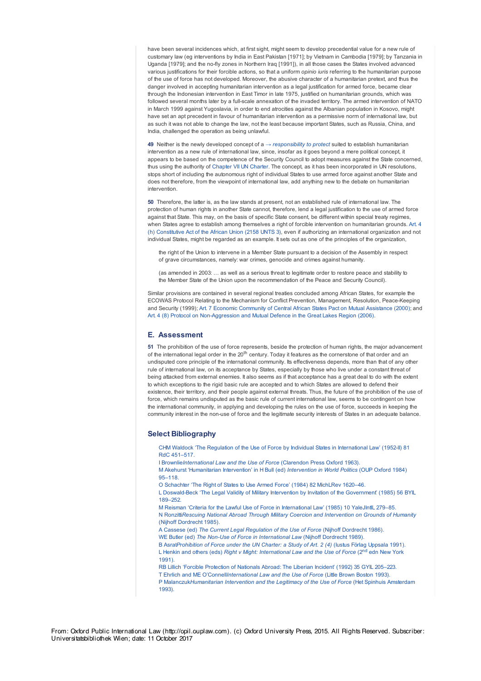have been several incidences which, at first sight, might seem to develop precedential value for a new rule of customary law (eg interventions by India in East Pakistan [1971]; by Vietnam in Cambodia [1979]; by Tanzania in Uganda [1979]; and the no-fly zones in Northern Iraq [1991]), in all those cases the States involved advanced various justifications for their forcible actions, so that a uniform *opinio iuris* referring to the humanitarian purpose of the use of force has not developed. Moreover, the abusive character of a humanitarian pretext, and thus the danger involved in accepting humanitarian intervention as a legal justification for armed force, became clear through the Indonesian intervention in East Timor in late 1975, justified on humanitarian grounds, which was followed several months later by a full-scale annexation of the invaded territory. The armed intervention of NATO in March 1999 against Yugoslavia, in order to end atrocities against the Albanian population in Kosovo, might have set an apt precedent in favour of humanitarian intervention as a permissive norm of international law, but as such it was not able to change the law, not the least because important States, such as Russia, China, and India, challenged the operation as being unlawful.

**49** Neither is the newly developed concept of a *→ responsibility to protect* suited to establish humanitarian intervention as a new rule of international law, since, insofar as it goes beyond a mere political concept, it appears to be based on the competence of the Security Council to adopt measures against the State concerned, thus using the authority of Chapter VII UN Charter. The concept, as it has been incorporated in UN resolutions, stops short of including the autonomous right of individual States to use armed force against another State and does not therefore, from the viewpoint of international law, add anything new to the debate on humanitarian intervention.

**50** Therefore, the latter is, as the law stands at present, not an established rule of international law. The protection of human rights in another State cannot, therefore, lend a legal justification to the use of armed force against that State. This may, on the basis of specific State consent, be different within special treaty regimes when States agree to establish among themselves a right of forcible intervention on humanitarian grounds. Art. 4 (h) Constitutive Act of the African Union (2158 UNTS 3), even if authorizing an international organization and not individual States, might be regarded as an example. It sets out as one of the principles of the organization,

the right of the Union to intervene in a Member State pursuant to a decision of the Assembly in respect of grave circumstances, namely: war crimes, genocide and crimes against humanity.

(as amended in 2003: … as well as a serious threat to legitimate order to restore peace and stability to the Member State of the Union upon the recommendation of the Peace and Security Council).

Similar provisions are contained in several regional treaties concluded among African States, for example the ECOWAS Protocol Relating to the Mechanism for Conflict Prevention, Management, Resolution, Peace-Keeping and Security (1999); Art. 7 Economic Community of Central African States Pact on Mutual Assistance (2000); and Art. 4 (8) Protocol on Non-Aggression and Mutual Defence in the Great Lakes Region (2006).

# **E. Assessment**

**51** The prohibition of the use of force represents, beside the protection of human rights, the major advancement of the international legal order in the 20<sup>th</sup> century. Today it features as the cornerstone of that order and an undisputed core principle of the international community. Its effectiveness depends, more than that of any other rule of international law, on its acceptance by States, especially by those who live under a constant threat of being attacked from external enemies. It also seems as if that acceptance has a great deal to do with the extent to which exceptions to the rigid basic rule are accepted and to which States are allowed to defend their existence, their territory, and their people against external threats. Thus, the future of the prohibition of the use of force, which remains undisputed as the basic rule of current international law, seems to be contingent on how the international community, in applying and developing the rules on the use of force, succeeds in keeping the community interest in the non-use of force and the legitimate security interests of States in an adequate balance.

## **Select Bibliography**

CHM Waldock 'The Regulation of the Use of Force by Individual States in International Law' (1952-II) 81 RdC 451–517.

I Brownlie*International Law and the Use of Force* (Clarendon Press Oxford 1963).

M Akehurst 'Humanitarian Intervention' in H Bull (ed) *Intervention in World Politics* (OUP Oxford 1984) 95–118.

O Schachter 'The Right of States to Use Armed Force' (1984) 82 MichLRev 1620–46.

L Doswald-Beck 'The Legal Validity of Military Intervention by Invitation of the Government' (1985) 56 BYIL 189–252.

M Reisman 'Criteria for the Lawful Use of Force in International Law' (1985) 10 YaleJIntlL 279–85. N Ronzitti*Rescuing National Abroad Through Military Coercion and Intervention on Grounds of Humanity* (Nijhoff Dordrecht 1985).

A Cassese (ed) *The Current Legal Regulation of the Use of Force* (Nijhoff Dordrecht 1986). WE Butler (ed) *The Non-Use of Force in International Law* (Nijhoff Dordrecht 1989).

B Asrat*Prohibition of Force under the UN Charter: a Study of Art. 2 (4)* (Iustus Förlag Uppsala 1991). L Henkin and others (eds) *Right v Might: International Law and the Use of Force* (2<sup>nd</sup> edn New York 1991).

RB Lillich 'Forcible Protection of Nationals Abroad: The Liberian Incident' (1992) 35 GYIL 205-223. T Ehrlich and ME O'Connell*International Law and the Use of Force* (Little Brown Boston 1993). P Malanczuk*Humanitarian Intervention and the Legitimacy of the Use of Force* (Het Spinhuis Amsterdam 1993).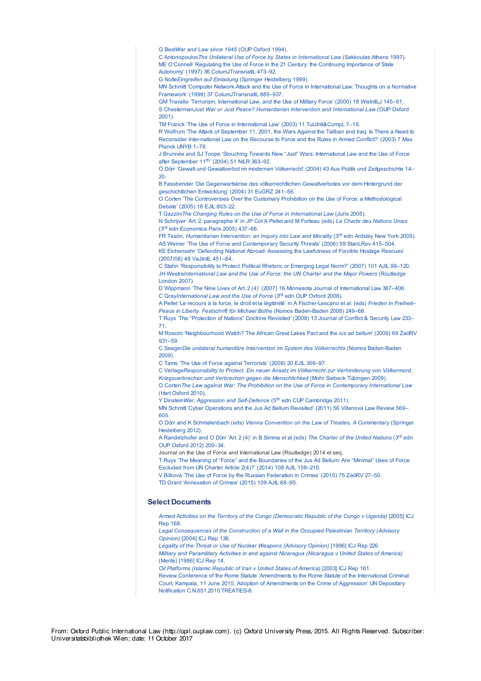G Best*War and Law since 1945* (OUP Oxford 1994).

C Antonopoulos*The Unilateral Use of Force by States in International Law* (Sakkoulas Athens 1997). ME O'Connell 'Regulating the Use of Force in the 21 Century: the Continuing Importance of State Autonomy' (1997) 36 ColumJTransnatlL 473–92.

G Nolte*Eingreifen auf Einladung* (Springer Heidelberg 1999).

MN Schmitt 'Computer Network Attack and the Use of Force in International Law: Thoughts on a Normative Framework' (1999) 37 ColumJTransnatlL 885–937.

GM Travalio 'Terrorism, International Law, and the Use of Military Force' (2000) 18 WisIntlLJ 145–91. S Chesterman*Just War or Just Peace? Humanitarian Intervention and International Law* (OUP Oxford 2001).

TM Franck 'The Use of Force in International Law' (2003) 11 TulJIntl&CompL 7–19.

R Wolfrum 'The Attack of September 11, 2001, the Wars Against the Taliban and Iraq: Is There a Need to Reconsider Inter-national Law on the Recourse to Force and the Rules in Armed Conflict?' (2003) 7 Max Planck UNYB 1–78.

J Brunnée and SJ Toope 'Slouching Towards New "Just" Wars: International Law and the Use of Force after September 11<sup>th</sup>' (2004) 51 NILR 363-92.

O Dörr 'Gewalt und Gewaltverbot im modernen Völkerrecht' (2004) 43 Aus Politik und Zeitgeschichte 14–  $20<sub>2</sub>$ 

B Fassbender 'Die Gegenwartskrise des völkerrechtlichen Gewaltverbotes vor dem Hintergrund der geschichtlichen Entwicklung' (2004) 31 EuGRZ 241–56.

O Corten 'The Controversies Over the Customary Prohibition on the Use of Force: a Methodological Debate' (2005) 16 EJIL 803–22.

T Gazzini*The Changing Rules on the Use of Force in International Law* (Juris 2005).

N Schrijver 'Art. 2, paragraphe 4' in JP Cot A Pellet and M Forteau (eds) *La Charte des Nations Unies* (3<sup>rd</sup> edn Economica Paris 2005) 437-66.

FR Tesòn, *Humanitarian Intervention: an <i>Inquiry into Law and Morality* (3<sup>rd</sup> edn Ardsley New York 2005). AS Weiner 'The Use of Force and Contemporary Security Threats' (2006) 59 StanLRev 415–504.

KE Eichensehr 'Defending National Abroad: Assessing the Lawfulness of Forcible Hostage Rescues' (2007/08) 48 VaJIntlL 451–84.

C Stahn 'Responsibility to Protect: Political Rhetoric or Emerging Legal Norm?' (2007) 101 AJIL 99–120. JH Westra*International Law and the Use of Force: the UN Charter and the Major Powers* (Routledge London 2007).

D Wippmann 'The Nine Lives of Art. 2 (4)' (2007) 16 Minnesota Journal of International Law 387–406. C GrayInternational Law and the Use of Force (3<sup>rd</sup> edn OUP Oxford 2008).

A Pellet 'Le recours à la force, le droit et la légitimité' in A Fischer-Lescano et al. (eds) *Frieden in Freiheit– Peace in Liberty. Festschrift für Michael Bothe* (Nomos Baden-Baden 2008) 249–68.

T Ruys 'The "Protection of Nations" Doctrine Revisited' (2008) 13 Journal of Conflict & Security Law 233– 71.

M Roscini 'Neighbourhood Watch? The African Great Lakes Pact and the *ius ad bellum*' (2009) 69 ZaöRV 931–59.

C Seeger*Die unilateral humanitäre Intervention im System des Völkerrechts* (Nomos Baden-Baden 2009).

C Tams 'The Use of Force against Terrorists' (2009) 20 EJIL 359–97.

C Verlage*Responsibility to Protect. Ein neuer Ansatz im Völkerrecht zur Verhinderung von Völkermord, Kriegsverbrechen und Verbrechen gegen die Menschlichkeit* (Mohr Siebeck Tübingen 2009). O Corten*The Law against War: The Prohibition on the Use of Force in Contemporary International Law*

(Hart Oxford 2010).

Y DinsteinWar, Aggression and Self-Defence (5<sup>th</sup> edn CUP Cambridge 2011).

MN Schmitt 'Cyber Operations and the Jus Ad Bellum Revisited' (2011) 56 Villanova Law Review 569– 605.

O Dörr and K Schmalenbach (eds) *Vienna Convention on the Law of Treaties. A Commentary* (Springer Heidelberg 2012).

A Randelzhofer and O Dörr 'Art. 2 (4)' in B Simma et al (eds) The Charter of the United Nations (3<sup>rd</sup> edn OUP Oxford 2012) 200–34.

Journal on the Use of Force and International Law (Routledge) 2014 et seq.

T Ruys 'The Meaning of "Force" and the Boundaries of the Jus Ad Bellum: Are "Minimal" Uses of Force Excluded from UN Charter Article 2(4)?' (2014) 108 AJIL 159–210.

V Bílková 'The Use of Force by the Russian Federation in Crimea' (2015) 75 ZaöRV 27–50. TD Grant 'Annexation of Crimea' (2015) 109 AJIL 68–95.

### **Select Documents**

*Armed Activities on the Territory of the Congo (Democratic Republic of the Congo v Uganda)* [2005] ICJ Rep 168.

*Legal Consequences of the Construction of a Wall in the Occupied Palestinian Territory (Advisory Opinion)* [2004] ICJ Rep 136.

*Legality of the Threat or Use of Nuclear Weapons (Advisory Opinion)* [1996] ICJ Rep 226. *Military and Paramilitary Activities in and against Nicaragua (Nicaragua v United States of America)* (Merits) [1986] ICJ Rep 14.

*Oil Platforms (Islamic Republic of Iran v United States of America)* [2003] ICJ Rep 161.

Review Conference of the Rome Statute 'Amendments to the Rome Statute of the International Criminal Court, Kampala, 11 June 2010, Adoption of Amendments on the Crime of Aggression' UN Depositary Notification C.N.651.2010.TREATIES-8.